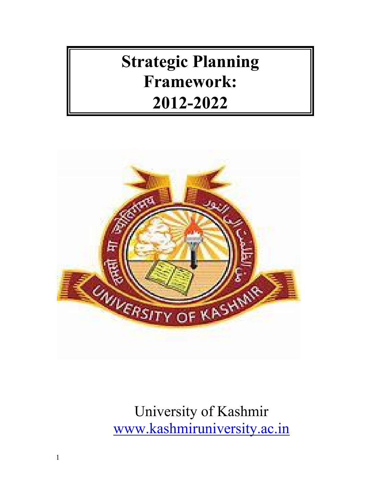# **Strategic Planning Framework: 2012-2022**



University of Kashmir www.kashmiruniversity.ac.in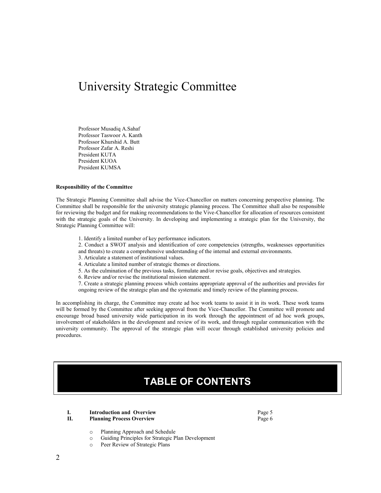# University Strategic Committee

Professor Musadiq A.Sahaf Professor Taswoor A. Kanth Professor Khurshid A. Butt Professor Zafar A. Reshi President KUTA President KUOA President KUMSA

#### **Responsibility of the Committee**

The Strategic Planning Committee shall advise the Vice-Chancellor on matters concerning perspective planning. The Committee shall be responsible for the university strategic planning process. The Committee shall also be responsible for reviewing the budget and for making recommendations to the Vive-Chancellor for allocation of resources consistent with the strategic goals of the University. In developing and implementing a strategic plan for the University, the Strategic Planning Committee will:

1. Identify a limited number of key performance indicators.

2. Conduct a SWOT analysis and identification of core competencies (strengths, weaknesses opportunities and threats) to create a comprehensive understanding of the internal and external environments.

- 3. Articulate a statement of institutional values.
- 4. Articulate a limited number of strategic themes or directions.
- 5. As the culmination of the previous tasks, formulate and/or revise goals, objectives and strategies.
- 6. Review and/or revise the institutional mission statement.

7. Create a strategic planning process which contains appropriate approval of the authorities and provides for ongoing review of the strategic plan and the systematic and timely review of the planning process.

In accomplishing its charge, the Committee may create ad hoc work teams to assist it in its work. These work teams will be formed by the Committee after seeking approval from the Vice-Chancellor. The Committee will promote and encourage broad based university wide participation in its work through the appointment of ad hoc work groups, involvement of stakeholders in the development and review of its work, and through regular communication with the university community. The approval of the strategic plan will occur through established university policies and procedures.

# **TABLE OF CONTENTS**

#### **I. Introduction and Overview Page 5**<br>**II. Planning Process Overview Page 6 Planning Process Overview** Page 6

- o Planning Approach and Schedule<br>
O Guiding Principles for Strategic P
- o Guiding Principles for Strategic Plan Development
- Peer Review of Strategic Plans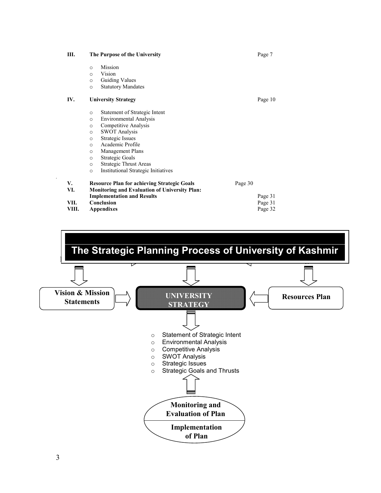**III. The Purpose of the University** Page 7 o Mission Vision o Guiding Values o Statutory Mandates **IV. University Strategy** Page 10 o Statement of Strategic Intent o Environmental Analysis o Competitive Analysis o SWOT Analysis o Strategic Issues o Academic Profile o Management Plans o Strategic Goals o Strategic Thrust Areas Institutional Strategic Initiatives *.* **V. Resource Plan for achieving Strategic Goals Page 30 VI. Monitoring and Evaluation of University Plan: VI. Monitoring and Evaluation of University Plan: Implementation and Results** Page 31 **Conclusion** Page 31 **VII.** Conclusion Page 31 **Page 31** Page 32 **Appendixes** 

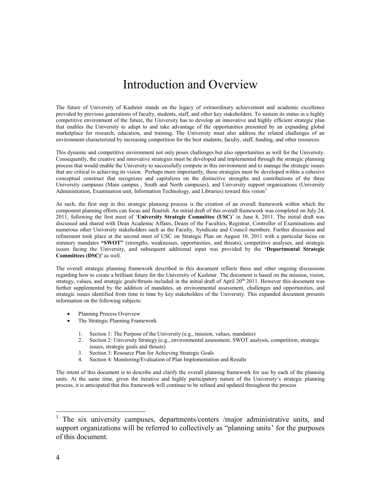# Introduction and Overview

The future of University of Kashmir stands on the legacy of extraordinary achievement and academic excellence provided by previous generations of faculty, students, staff, and other key stakeholders. To sustain its status in a highly competitive environment of the future, the University has to develop an innovative and highly efficient strategic plan that enables the University to adapt to and take advantage of the opportunities presented by an expanding global marketplace for research, education, and training. The University must also address the related challenges of an environment characterized by increasing competition for the best students, faculty, staff, funding, and other resources.

This dynamic and competitive environment not only poses challenges but also opportunities as well for the University. Consequently, the creative and innovative strategies must be developed and implemented through the strategic planning process that would enable the University to successfully compete in this environment and to manage the strategic issues that are critical to achieving its vision. Perhaps more importantly, these strategies must be developed within a cohesive conceptual construct that recognizes and capitalizes on the distinctive strengths and contributions of the three University campuses (Main campus , South and North campuses), and University support organizations (University Administration, Examination unit, Information Technology, and Libraries) toward this vision<sup>1</sup>

As such, the first step in this strategic planning process is the creation of an overall framework within which the component planning efforts can focus and flourish. An initial draft of this overall framework was completed on July 24, 2011, following the first meet of '**University Strategic Committee (USC)**' in June 8, 2011. The initial draft was discussed and shared with Dean Academic Affairs, Deans of the Faculties, Registrar, Controller of Examinations and numerous other University stakeholders such as the Faculty, Syndicate and Council members. Further discussion and refinement took place at the second meet of USC on Strategic Plan on August 10, 2011 with a particular focus on statutory mandates "SWOT" (strengths, weaknesses, opportunities, and threats), competitive analyses, and strategic issues facing the University, and subsequent additional input was provided by the **'Departmental Strategic Committees (DSC)'** as well.

The overall strategic planning framework described in this document reflects these and other ongoing discussions regarding how to create a brilliant future for the University of Kashmir. The document is based on the mission, vision, strategy, values, and strategic goals/thrusts included in the initial draft of April  $20^{th}$  2011. However this document was further supplemented by the addition of mandates, an environmental assessment, challenges and opportunities, and strategic issues identified from time to time by key stakeholders of the University. This expanded document presents information on the following subjects:

- Planning Process Overview
- The Strategic Planning Framework
	- 1. Section 1: The Purpose of the University (e.g., mission, values, mandates)
	- 2. Section 2: University Strategy (e.g., environmental assessment, SWOT analysis, competition, strategic issues, strategic goals and thrusts)
	- 3. Section 3: Resource Plan for Achieving Strategic Goals
	- 4. Section 4: Monitoring/Evaluation of Plan Implementation and Results

The intent of this document is to describe and clarify the overall planning framework for use by each of the planning units. At the same time, given the iterative and highly participatory nature of the University's strategic planning process, it is anticipated that this framework will continue to be refined and updated throughout the process

<sup>1</sup> The six university campuses, departments/centers /major administrative units, and support organizations will be referred to collectively as "planning units' for the purposes of this document.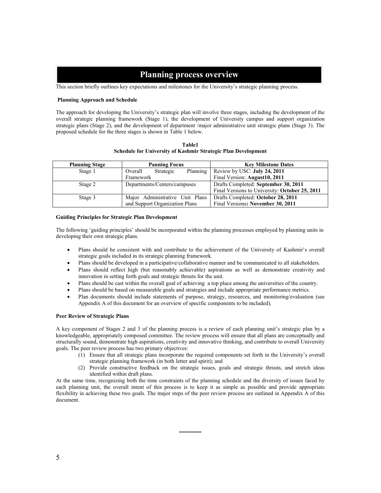# **Planning process overview**

This section briefly outlines key expectations and milestones for the University's strategic planning process.

# **Planning Approach and Schedule**

The approach for developing the University's strategic plan will involve three stages, including the development of the overall strategic planning framework (Stage 1), the development of University campus and support organization strategic plans (Stage 2), and the development of department /major administrative unit strategic plans (Stage 3). The proposed schedule for the three stages is shown in Table 1 below.

**Table1 Schedule for University of Kashmir Strategic Plan Development**

| <b>Planning Stage</b> | <b>Panning Focus</b>             | <b>Key Milestone Dates</b>                     |
|-----------------------|----------------------------------|------------------------------------------------|
| Stage 1               | Overall<br>Strategic<br>Planning | Review by USC: July 24, 2011                   |
|                       | Framework                        | Final Version: August10, 2011                  |
| Stage 2               | Departments/Centers/campuses     | Drafts Completed: September 30, 2011           |
|                       |                                  | Final Versions to University: October 25, 2011 |
| Stage 3               | Major Administrative Unit Plans  | Drafts Completed: October 28, 2011             |
|                       | and Support Organization Plans   | Final Versions: November 30, 2011              |

#### **Guiding Principles for Strategic Plan Development**

The following 'guiding principles' should be incorporated within the planning processes employed by planning units in developing their own strategic plans.

- Plans should be consistent with and contribute to the achievement of the University of Kashmir's overall strategic goals included in its strategic planning framework.
- Plans should be developed in a participative/collaborative manner and be communicated to all stakeholders.
- Plans should reflect high (but reasonably achievable) aspirations as well as demonstrate creativity and innovation in setting forth goals and strategic thrusts for the unit.
- Plans should be cast within the overall goal of achieving a top place among the universities of the country.
- Plans should be based on measurable goals and strategies and include appropriate performance metrics.
- Plan documents should include statements of purpose, strategy, resources, and monitoring/evaluation (see Appendix A of this document for an overview of specific components to be included).

# **Peer Review of Strategic Plans**

A key component of Stages 2 and 3 of the planning process is a review of each planning unit's strategic plan by a knowledgeable, appropriately composed committee. The review process will ensure that all plans are conceptually and structurally sound, demonstrate high aspirations, creativity and innovative thinking, and contribute to overall University goals. The peer review process has two primary objectives:

- (1) Ensure that all strategic plans incorporate the required components set forth in the University's overall strategic planning framework (in both letter and spirit); and
- (2) Provide constructive feedback on the strategic issues, goals and strategic thrusts, and stretch ideas identified within draft plans.

**=======**

At the same time, recognizing both the time constraints of the planning schedule and the diversity of issues faced by each planning unit, the overall intent of this process is to keep it as simple as possible and provide appropriate flexibility in achieving these two goals. The major steps of the peer review process are outlined in Appendix A of this document.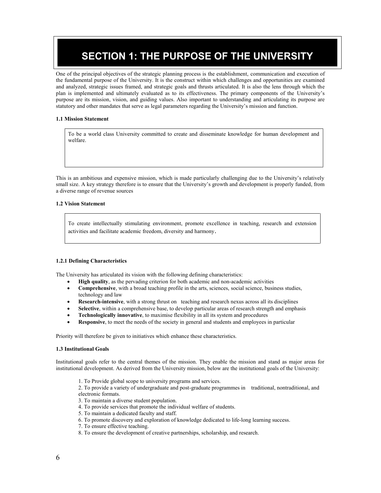# **SECTION 1: THE PURPOSE OF THE UNIVERSITY**

One of the principal objectives of the strategic planning process is the establishment, communication and execution of the fundamental purpose of the University. It is the construct within which challenges and opportunities are examined and analyzed, strategic issues framed, and strategic goals and thrusts articulated. It is also the lens through which the plan is implemented and ultimately evaluated as to its effectiveness. The primary components of the University's purpose are its mission, vision, and guiding values. Also important to understanding and articulating its purpose are statutory and other mandates that serve as legal parameters regarding the University's mission and function.

# **1.1 Mission Statement**

To be a world class University committed to create and disseminate knowledge for human development and welfare.

This is an ambitious and expensive mission, which is made particularly challenging due to the University's relatively small size. A key strategy therefore is to ensure that the University's growth and development is properly funded, from a diverse range of revenue sources

# **1.2 Vision Statement**

To create intellectually stimulating environment, promote excellence in teaching, research and extension activities and facilitate academic freedom, diversity and harmony.

# **1.2.1 Defining Characteristics**

The University has articulated its vision with the following defining characteristics:

- **High quality**, as the pervading criterion for both academic and non-academic activities
- **Comprehensive**, with a broad teaching profile in the arts, sciences, social science, business studies, technology and law
- **Research-intensive**, with a strong thrust on teaching and research nexus across all its disciplines
- **Selective**, within a comprehensive base, to develop particular areas of research strength and emphasis
- **Technologically innovative**, to maximise flexibility in all its system and procedures
- **Responsive**, to meet the needs of the society in general and students and employees in particular

Priority will therefore be given to initiatives which enhance these characteristics.

# **1.3 Institutional Goals**

Institutional goals refer to the central themes of the mission. They enable the mission and stand as major areas for institutional development. As derived from the University mission, below are the institutional goals of the University:

1. To Provide global scope to university programs and services.

2. To provide a variety of undergraduate and post-graduate programmes in traditional, nontraditional, and electronic formats.

- 3. To maintain a diverse student population.
- 4. To provide services that promote the individual welfare of students.
- 5. To maintain a dedicated faculty and staff.
- 6. To promote discovery and exploration of knowledge dedicated to life-long learning success.
- 7. To ensure effective teaching.
- 8. To ensure the development of creative partnerships, scholarship, and research.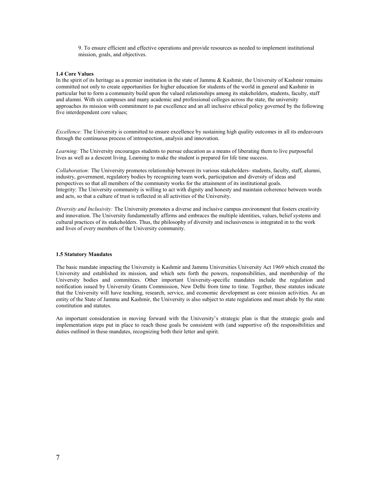9. To ensure efficient and effective operations and provide resources as needed to implement institutional mission, goals, and objectives.

#### **1.4 Core Values**

In the spirit of its heritage as a premier institution in the state of Jammu & Kashmir, the University of Kashmir remains committed not only to create opportunities for higher education for students of the world in general and Kashmir in particular but to form a community build upon the valued relationships among its stakeholders, students, faculty, staff and alumni. With six campuses and many academic and professional colleges across the state, the university approaches its mission with commitment to par excellence and an all inclusive ethical policy governed by the following five interdependent core values;

*Excellence:* The University is committed to ensure excellence by sustaining high quality outcomes in all its endeavours through the continuous process of introspection, analysis and innovation.

*Learning:* The University encourages students to pursue education as a means of liberating them to live purposeful lives as well as a descent living. Learning to make the student is prepared for life time success.

*Collaboration:* The University promotes relationship between its various stakeholders- students, faculty, staff, alumni, industry, government, regulatory bodies by recognizing team work, participation and diversity of ideas and perspectives so that all members of the community works for the attainment of its institutional goals. Integrity: The University community is willing to act with dignity and honesty and maintain coherence between words and acts, so that a culture of trust is reflected in all activities of the University.

*Diversity and Inclusivity:* The University promotes a diverse and inclusive campus environment that fosters creativity and innovation. The University fundamentally affirms and embraces the multiple identities, values, belief systems and cultural practices of its stakeholders. Thus, the philosophy of diversity and inclusiveness is integrated in to the work and lives of every members of the University community.

#### **1.5 Statutory Mandates**

The basic mandate impacting the University is Kashmir and Jammu Universities University Act 1969 which created the University and established its mission, and which sets forth the powers, responsibilities, and membership of the University bodies and committees. Other important University-specific mandates include the regulation and notification issued by University Grants Commission, New Delhi from time to time. Together, these statutes indicate that the University will have teaching, research, service, and economic development as core mission activities. As an entity of the State of Jammu and Kashmir, the University is also subject to state regulations and must abide by the state constitution and statutes.

An important consideration in moving forward with the University's strategic plan is that the strategic goals and implementation steps put in place to reach those goals be consistent with (and supportive of) the responsibilities and duties outlined in these mandates, recognizing both their letter and spirit.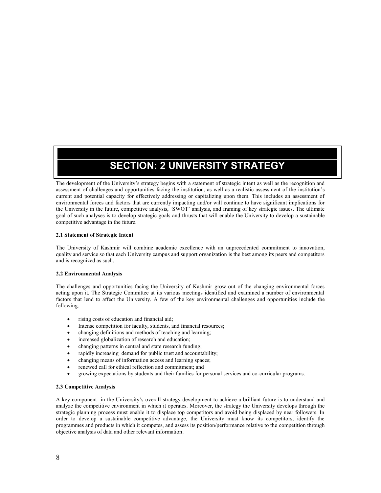# **SECTION: 2 UNIVERSITY STRATEGY**

The development of the University's strategy begins with a statement of strategic intent as well as the recognition and assessment of challenges and opportunities facing the institution, as well as a realistic assessment of the institution's current and potential capacity for effectively addressing or capitalizing upon them. This includes an assessment of environmental forces and factors that are currently impacting and/or will continue to have significant implications for the University in the future, competitive analysis, 'SWOT' analysis, and framing of key strategic issues. The ultimate goal of such analyses is to develop strategic goals and thrusts that will enable the University to develop a sustainable competitive advantage in the future.

# **2.1 Statement of Strategic Intent**

The University of Kashmir will combine academic excellence with an unprecedented commitment to innovation, quality and service so that each University campus and support organization is the best among its peers and competitors and is recognized as such.

# **2.2 Environmental Analysis**

The challenges and opportunities facing the University of Kashmir grow out of the changing environmental forces acting upon it. The Strategic Committee at its various meetings identified and examined a number of environmental factors that lend to affect the University. A few of the key environmental challenges and opportunities include the following:

- rising costs of education and financial aid;
- Intense competition for faculty, students, and financial resources;
- changing definitions and methods of teaching and learning;
- $\bullet$  increased globalization of research and education;
- changing patterns in central and state research funding;
- rapidly increasing demand for public trust and accountability;
- changing means of information access and learning spaces;
- renewed call for ethical reflection and commitment; and
- growing expectations by students and their families for personal services and co-curricular programs.

# **2.3 Competitive Analysis**

A key component in the University's overall strategy development to achieve a brilliant future is to understand and analyze the competitive environment in which it operates. Moreover, the strategy the University develops through the strategic planning process must enable it to displace top competitors and avoid being displaced by near followers. In order to develop a sustainable competitive advantage, the University must know its competitors, identify the programmes and products in which it competes, and assess its position/performance relative to the competition through objective analysis of data and other relevant information.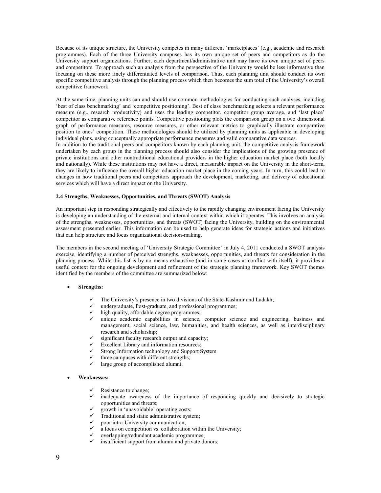Because of its unique structure, the University competes in many different 'marketplaces' (e.g., academic and research programmes). Each of the three University campuses has its own unique set of peers and competitors as do the University support organizations. Further, each department/administrative unit may have its own unique set of peers and competitors. To approach such an analysis from the perspective of the University would be less informative than focusing on these more finely differentiated levels of comparison. Thus, each planning unit should conduct its own specific competitive analysis through the planning process which then becomes the sum total of the University's overall competitive framework.

At the same time, planning units can and should use common methodologies for conducting such analyses, including 'best of class benchmarking' and 'competitive positioning'. Best of class benchmarking selects a relevant performance measure (e.g., research productivity) and uses the leading competitor, competitor group average, and 'last place' competitor as comparative reference points. Competitive positioning plots the comparison group on a two dimensional graph of performance measures, resource measures, or other relevant metrics to graphically illustrate comparative position to ones' competition. These methodologies should be utilized by planning units as applicable in developing individual plans, using conceptually appropriate performance measures and valid comparative data sources.

In addition to the traditional peers and competitors known by each planning unit, the competitive analysis framework undertaken by each group in the planning process should also consider the implications of the growing presence of private institutions and other nontraditional educational providers in the higher education market place (both locally and nationally). While these institutions may not have a direct, measurable impact on the University in the short-term, they are likely to influence the overall higher education market place in the coming years. In turn, this could lead to changes in how traditional peers and competitors approach the development, marketing, and delivery of educational services which will have a direct impact on the University.

# **2.4 Strengths, Weaknesses, Opportunities, and Threats (SWOT) Analysis**

An important step in responding strategically and effectively to the rapidly changing environment facing the University is developing an understanding of the external and internal context within which it operates. This involves an analysis of the strengths, weaknesses, opportunities, and threats (SWOT) facing the University, building on the environmental assessment presented earlier. This information can be used to help generate ideas for strategic actions and initiatives that can help structure and focus organizational decision-making.

The members in the second meeting of 'University Strategic Committee' in July 4, 2011 conducted a SWOT analysis exercise, identifying a number of perceived strengths, weaknesses, opportunities, and threats for consideration in the planning process. While this list is by no means exhaustive (and in some cases at conflict with itself), it provides a useful context for the ongoing development and refinement of the strategic planning framework. Key SWOT themes identified by the members of the committee are summarized below:

# **Strengths:**

- The University's presence in two divisions of the State-Kashmir and Ladakh;
- undergraduate, Post-graduate, and professional programmes;
- $\checkmark$  high quality, affordable degree programmes;<br> $\checkmark$  unique academic capabilities in science.
- unique academic capabilities in science, computer science and engineering, business and management, social science, law, humanities, and health sciences, as well as interdisciplinary research and scholarship;
- significant faculty research output and capacity;
- $\checkmark$  Excellent Library and information resources;<br> $\checkmark$  Strong Information technology and Support S
- Strong Information technology and Support System
- $\checkmark$  three campuses with different strengths;<br> $\checkmark$  large group of accomplished alumni.
- large group of accomplished alumni.

# **Weaknesses:**

- Resistance to change;
- inadequate awareness of the importance of responding quickly and decisively to strategic opportunities and threats;
- $\checkmark$  growth in 'unavoidable' operating costs;<br> $\checkmark$  Traditional and static administrative system
- $\checkmark$  Traditional and static administrative system;
- poor intra-University communication;
- $\checkmark$  a focus on competition vs. collaboration within the University;
- $\checkmark$  overlapping/redundant academic programmes;<br> $\checkmark$  insufficient support from alumni and private do
- insufficient support from alumni and private donors;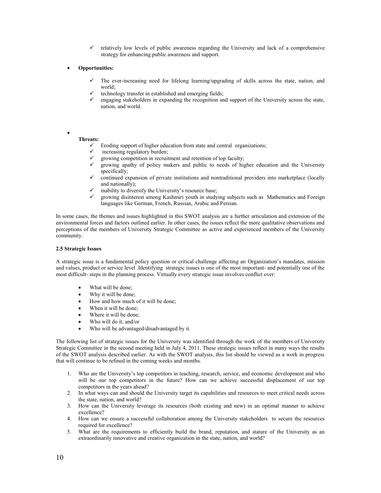- $\checkmark$  relatively low levels of public awareness regarding the University and lack of a comprehensive strategy for enhancing public awareness and support.
- **Opportunities:**
	- The ever-increasing need for lifelong learning/upgrading of skills across the state, nation, and world;
	- technology transfer in established and emerging fields;
	- engaging stakeholders in expanding the recognition and support of the University across the state, nation, and world.

# $\bullet$  and  $\bullet$

- **Threats:**
	- $\checkmark$  Eroding support of higher education from state and central organizations;<br> $\checkmark$  increasing regulatory burden:
	- increasing regulatory burden;
	- $\checkmark$  growing competition in recruitment and retention of top faculty;
	- growing apathy of policy makers and public to needs of higher education and the University specifically;
	- $\checkmark$  continued expansion of private institutions and nontraditional providers into marketplace (locally and nationally);
	- inability to diversify the University's resource base;
	- growing disinterest among Kashmiri youth in studying subjects such as Mathematics and Foreign languages like German, French, Russian, Arabic and Persian.

In some cases, the themes and issues highlighted in this SWOT analysis are a further articulation and extension of the environmental forces and factors outlined earlier. In other cases, the issues reflect the more qualitative observations and perceptions of the members of University Strategic Committee as active and experienced members of the University community.

# **2.5 Strategic Issues**

A strategic issue is a fundamental policy question or critical challenge affecting an Organization's mandates, mission and values, product or service level .Identifying strategic issues is one of the most important- and potentially one of the most difficult- steps in the planning process. Virtually every strategic issue involves conflict over:

- What will be done;
- Why it will be done;
- How and how much of it will be done;
- When it will be done:
- Where it will be done;
- Who will do it; and/or
- Who will be advantaged/disadvantaged by it.

The following list of strategic issues for the University was identified through the work of the members of University Strategic Committee in the second meeting held in July 4, 2011. These strategic issues reflect in many ways the results of the SWOT analysis described earlier. As with the SWOT analysis, this list should be viewed as a work in progress that will continue to be refined in the coming weeks and months.

- 1. Who are the University's top competitors in teaching, research, service, and economic development and who will be our top competitors in the future? How can we achieve successful displacement of our top competitors in the years ahead?
- 2. In what ways can and should the University target its capabilities and resources to meet critical needs across the state, nation, and world?
- 3. How can the University leverage its resources (both existing and new) in an optimal manner to achieve excellence?
- 4. How can we ensure a successful collaboration among the University stakeholders to secure the resources required for excellence?
- 5. What are the requirements to efficiently build the brand, reputation, and stature of the University as an extraordinarily innovative and creative organization in the state, nation, and world?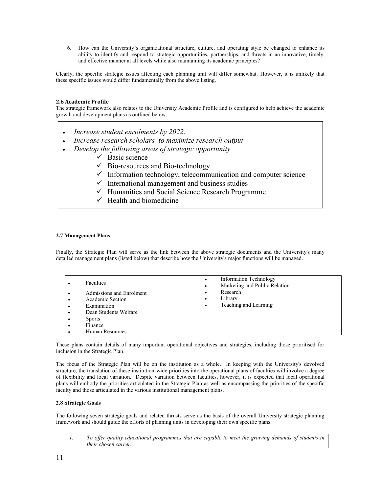6. How can the University's organizational structure, culture, and operating style be changed to enhance its ability to identify and respond to strategic opportunities, partnerships, and threats in an innovative, timely, and effective manner at all levels while also maintaining its academic principles?

Clearly, the specific strategic issues affecting each planning unit will differ somewhat. However, it is unlikely that these specific issues would differ fundamentally from the above listing.

# **2.6 Academic Profile**

The strategic framework also relates to the University Academic Profile and is configured to help achieve the academic growth and development plans as outlined below.

- *Increase student enrolments by 2022.*
- *Increase research scholars to maximize research output*
- *Develop the following areas of strategic opportunity*
	- $\checkmark$  Basic science
	- $\checkmark$  Bio-resources and Bio-technology
	- $\checkmark$  Information technology, telecommunication and computer science
	- $\checkmark$  International management and business studies
	- $\checkmark$  Humanities and Social Science Research Programme
	- $\checkmark$  Health and biomedicine

# **2.7 Management Plans**

Finally, the Strategic Plan will serve as the link between the above strategic documents and the University's many detailed management plans (listed below) that describe how the University's major functions will be managed.

|           | Faculties                | Information Technology<br>$\bullet$<br>Marketing and Public Relation<br>٠ |
|-----------|--------------------------|---------------------------------------------------------------------------|
|           | Admissions and Enrolment | Research                                                                  |
| $\bullet$ | Academic Section         | Library<br>$\bullet$                                                      |
| ٠         | Examination              | Teaching and Learning<br>٠                                                |
| $\bullet$ | Dean Students Welfare    |                                                                           |
| ٠         | <b>Sports</b>            |                                                                           |
|           | Finance                  |                                                                           |
|           | Human Resources          |                                                                           |

These plans contain details of many important operational objectives and strategies, including those prioritised for inclusion in the Strategic Plan.

The focus of the Strategic Plan will be on the institution as a whole. In keeping with the University's devolved structure, the translation of these institution-wide priorities into the operational plans of faculties will involve a degree of flexibility and local variation. Despite variation between faculties, however, it is expected that local operational plans will embody the priorities articulated in the Strategic Plan as well as encompassing the priorities of the specific faculty and those articulated in the various institutional management plans.

# **2.8 Strategic Goals**

The following seven strategic goals and related thrusts serve as the basis of the overall University strategic planning framework and should guide the efforts of planning units in developing their own specific plans.

*1. To offer quality educational programmes that are capable to meet the growing demands of students in their chosen career.*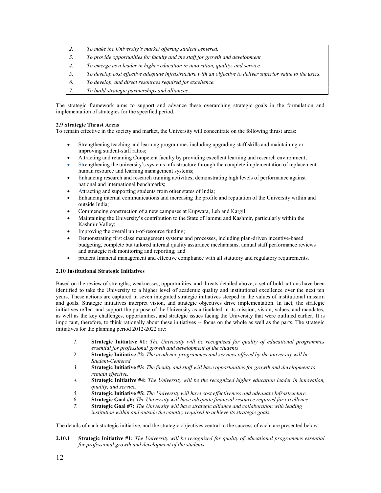- *2. To make the University's market offering student centered.*
- *3. To provide opportunities for faculty and the staff for growth and development*
- *4. To emerge as a leader in higher education in innovation, quality, and service.*
- *5. To develop cost effective adequate infrastructure with an objective to deliver superior value to the users.*
- *6. To develop, and direct resources required for excellence.*
- *7. To build strategic partnerships and alliances.*

The strategic framework aims to support and advance these overarching strategic goals in the formulation and implementation of strategies for the specified period.

# **2.9 Strategic Thrust Areas**

To remain effective in the society and market, the University will concentrate on the following thrust areas:

- Strengthening teaching and learning programmes including upgrading staff skills and maintaining or improving student-staff ratios;
- Attracting and retaining Competent faculty by providing excellent learning and research environment;
- Strengthening the university's systems infrastructure through the complete implementation of replacement human resource and learning management systems;
- Enhancing research and research training activities, demonstrating high levels of performance against national and international benchmarks;
- Attracting and supporting students from other states of India;
- Enhancing internal communications and increasing the profile and reputation of the University within and outside India;
- Commencing construction of a new campuses at Kupwara, Leh and Kargil;
- Maintaining the University's contribution to the State of Jammu and Kashmir, particularly within the Kashmir Valley;
- Improving the overall unit-of-resource funding;
- Demonstrating first class management systems and processes, including plan-driven incentive-based budgeting, complete but tailored internal quality assurance mechanisms, annual staff performance reviews and strategic risk monitoring and reporting; and
- prudent financial management and effective compliance with all statutory and regulatory requirements.

# **2.10 Institutional Strategic Initiatives**

Based on the review of strengths, weaknesses, opportunities, and threats detailed above, a set of bold actions have been identified to take the University to a higher level of academic quality and institutional excellence over the next ten years. These actions are captured in seven integrated strategic initiatives steeped in the values of institutional mission and goals. Strategic initiatives interpret vision, and strategic objectives drive implementation. In fact, the strategic initiatives reflect and support the purpose of the University as articulated in its mission, vision, values, and mandates, as well as the key challenges, opportunities, and strategic issues facing the University that were outlined earlier. It is important, therefore, to think rationally about these initiatives -- focus on the whole as well as the parts. The strategic initiatives for the planning period 2012-2022 are:

- *1.* **Strategic Initiative #1:** *The University will be recognized for quality of educational programmes essential for professional growth and development of the students*
- 2. **Strategic Initiative #2:** *The academic programmes and services offered by the university will be Student-Centered.*
- *3.* **Strategic Initiative #3:** *The faculty and staff will have opportunities for growth and development to remain effective.*
- *4.* **Strategic Initiative #4:** *The University will be the recognized higher education leader in innovation, quality, and service.*
- *5.* **Strategic Initiative #5:** *The University will have cost effectiveness and adequate Infrastructure.*
- 6. **Strategic Goal #6:** *The University will have adequate financial resource required for excellence*
- *7.* **Strategic Goal #7:** *The University will have strategic alliance and collaboration with leading institution within and outside the country required to achieve its strategic goals.*

The details of each strategic initiative, and the strategic objectives central to the success of each, are presented below:

**2.10.1 Strategic Initiative #1:** *The University will be recognized for quality of educational programmes essential for professional growth and development of the students*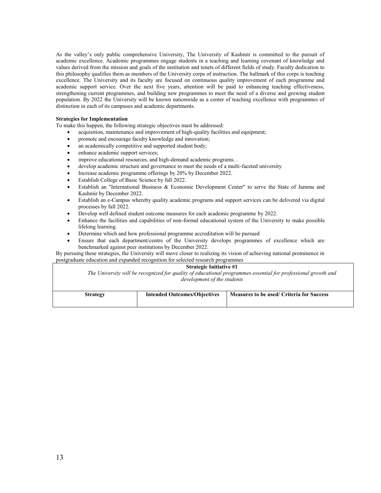As the valley's only public comprehensive University, The University of Kashmir is committed to the pursuit of academic excellence. Academic programmes engage students in a teaching and learning covenant of knowledge and values derived from the mission and goals of the institution and tenets of different fields of study. Faculty dedication to this philosophy qualifies them as members of the University corps of instruction. The hallmark of this corps is teaching excellence. The University and its faculty are focused on continuous quality improvement of each programme and academic support service. Over the next five years, attention will be paid to enhancing teaching effectiveness, strengthening current programmes, and building new programmes to meet the need of a diverse and growing student population. By 2022 the University will be known nationwide as a center of teaching excellence with programmes of distinction in each of its campuses and academic departments.

# **Strategies for Implementation**

To make this happen, the following strategic objectives must be addressed:

- acquisition, maintenance and improvement of high-quality facilities and equipment;
- promote and encourage faculty knowledge and innovation;
- an academically competitive and supported student body;
- enhance academic support services;
- improve educational resources, and high-demand academic programs. .
- develop academic structure and governance to meet the needs of a multi-faceted university
- Increase academic programme offerings by 20% by December 2022.
- Establish College of Basic Science by fall 2022.
- Establish an "International Business & Economic Development Center" to serve the State of Jammu and Kashmir by December 2022.
- Establish an e-Campus whereby quality academic programs and support services can be delivered via digital processes by fall 2022.
- Develop well defined student outcome measures for each academic programme by 2022.
- Enhance the facilities and capabilities of non-formal educational system of the University to make possible lifelong learning.
- Determine which and how professional programme accreditation will be pursued
- Ensure that each department/centre of the University develops programmes of excellence which are benchmarked against peer institutions by December 2022.

By pursuing these strategies, the University will move closer to realizing its vision of achieving national prominence in postgraduate education and expanded recognition for selected research programmes

# **Strategic Initiative #1**

*The University will be recognized for quality of educational programmes essential for professional growth and development of the students*

| <b>Strategy</b> | <b>Intended Outcomes/Objectives</b> | Measures to be used/ Criteria for Success |
|-----------------|-------------------------------------|-------------------------------------------|
|                 |                                     |                                           |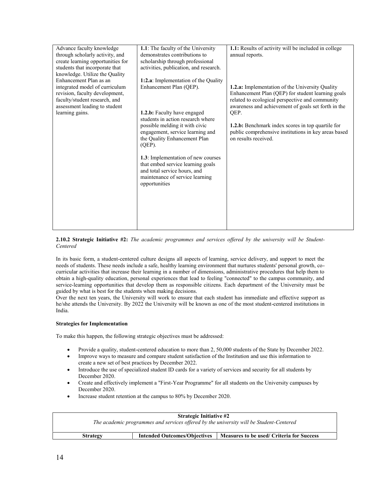| Advance faculty knowledge<br>through scholarly activity, and<br>create learning opportunities for<br>students that incorporate that<br>knowledge. Utilize the Quality<br>Enhancement Plan as an | 1.1: The faculty of the University<br>demonstrates contributions to<br>scholarship through professional<br>activities, publication, and research.<br>1:2.a: Implementation of the Quality | 1.1: Results of activity will be included in college<br>annual reports.                                                                                                                                                       |
|-------------------------------------------------------------------------------------------------------------------------------------------------------------------------------------------------|-------------------------------------------------------------------------------------------------------------------------------------------------------------------------------------------|-------------------------------------------------------------------------------------------------------------------------------------------------------------------------------------------------------------------------------|
| integrated model of curriculum<br>revision, faculty development,<br>faculty/student research, and<br>assessment leading to student<br>learning gains.                                           | Enhancement Plan (QEP).<br>1.2.b: Faculty have engaged<br>students in action research where                                                                                               | <b>1.2.a:</b> Implementation of the University Quality<br>Enhancement Plan (QEP) for student learning goals<br>related to ecological perspective and community<br>awareness and achievement of goals set forth in the<br>QEP. |
|                                                                                                                                                                                                 | possible melding it with civic<br>engagement, service learning and<br>the Quality Enhancement Plan<br>$(QEP)$ .<br>1.3: Implementation of new courses                                     | 1.2.b: Benchmark index scores in top quartile for<br>public comprehensive institutions in key areas based<br>on results received.                                                                                             |
|                                                                                                                                                                                                 | that embed service learning goals<br>and total service hours, and<br>maintenance of service learning<br>opportunities                                                                     |                                                                                                                                                                                                                               |
|                                                                                                                                                                                                 |                                                                                                                                                                                           |                                                                                                                                                                                                                               |

**2.10.2 Strategic Initiative #2:** *The academic programmes and services offered by the university will be Student- Centered*

In its basic form, a student-centered culture designs all aspects of learning, service delivery, and support to meet the needs of students. These needs include a safe, healthy learning environment that nurtures students' personal growth, co curricular activities that increase their learning in a number of dimensions, administrative procedures that help them to obtain a high-quality education, personal experiences that lead to feeling "connected" to the campus community, and service-learning opportunities that develop them as responsible citizens. Each department of the University must be guided by what is best for the students when making decisions.

Over the next ten years, the University will work to ensure that each student has immediate and effective support as he/she attends the University. By 2022 the University will be known as one of the most student-centered institutions in India.

# **Strategies for Implementation**

To make this happen, the following strategic objectives must be addressed:

- Provide a quality, student-centered education to more than 2, 50,000 students of the State by December 2022.
- Improve ways to measure and compare student satisfaction of the Institution and use this information to create a new set of best practices by December 2022.
- Introduce the use of specialized student ID cards for a variety of services and security for all students by December 2020.
- Create and effectively implement a "First-Year Programme" for all students on the University campuses by December 2020.
- Increase student retention at the campus to 80% by December 2020.

| <b>Strategic Initiative #2</b><br>The academic programmes and services offered by the university will be Student-Centered |                                     |                                           |
|---------------------------------------------------------------------------------------------------------------------------|-------------------------------------|-------------------------------------------|
| <b>Strategy</b>                                                                                                           | <b>Intended Outcomes/Objectives</b> | Measures to be used/ Criteria for Success |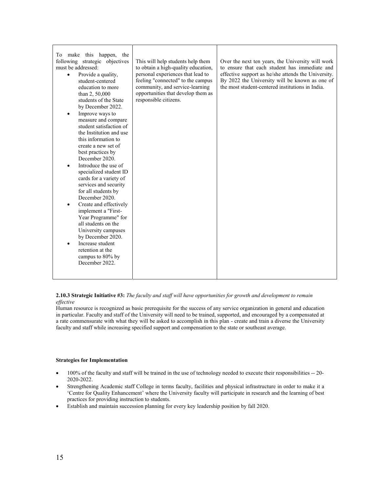| To make this happen, the<br>following strategic objectives<br>must be addressed:<br>Provide a quality,<br>$\bullet$<br>student-centered<br>education to more<br>than 2, 50,000<br>students of the State<br>by December 2022.<br>Improve ways to<br>$\bullet$<br>measure and compare<br>student satisfaction of<br>the Institution and use<br>this information to<br>create a new set of<br>best practices by<br>December 2020.<br>Introduce the use of<br>specialized student ID<br>cards for a variety of<br>services and security<br>for all students by<br>December 2020.<br>Create and effectively<br>implement a "First-<br>Year Programme" for<br>all students on the<br>University campuses<br>by December 2020.<br>Increase student<br>retention at the<br>campus to 80% by<br>December 2022. | This will help students help them<br>to obtain a high-quality education,<br>personal experiences that lead to<br>feeling "connected" to the campus<br>community, and service-learning<br>opportunities that develop them as<br>responsible citizens. | Over the next ten years, the University will work<br>to ensure that each student has immediate and<br>effective support as he/she attends the University.<br>By 2022 the University will be known as one of<br>the most student-centered institutions in India. |  |
|-------------------------------------------------------------------------------------------------------------------------------------------------------------------------------------------------------------------------------------------------------------------------------------------------------------------------------------------------------------------------------------------------------------------------------------------------------------------------------------------------------------------------------------------------------------------------------------------------------------------------------------------------------------------------------------------------------------------------------------------------------------------------------------------------------|------------------------------------------------------------------------------------------------------------------------------------------------------------------------------------------------------------------------------------------------------|-----------------------------------------------------------------------------------------------------------------------------------------------------------------------------------------------------------------------------------------------------------------|--|
|                                                                                                                                                                                                                                                                                                                                                                                                                                                                                                                                                                                                                                                                                                                                                                                                       |                                                                                                                                                                                                                                                      |                                                                                                                                                                                                                                                                 |  |

# **2.10.3 Strategic Initiative #3:** *The faculty and staff will have opportunities for growth and development to remain effective*

Human resource is recognized as basic prerequisite for the success of any service organization in general and education in particular. Faculty and staff of the University will need to be trained, supported, and encouraged by a compensated at a rate commensurate with what they will be asked to accomplish in this plan - create and train a diverse the University faculty and staff while increasing specified support and compensation to the state or southeast average.

# **Strategies for Implementation**

- 100% of the faculty and staff will be trained in the use of technology needed to execute their responsibilities -- 20- 2020-2022.
- Strengthening Academic staff College in terms faculty, facilities and physical infrastructure in order to make it a 'Centre for Quality Enhancement' where the University faculty will participate in research and the learning of best practices for providing instruction to students.
- Establish and maintain succession planning for every key leadership position by fall 2020.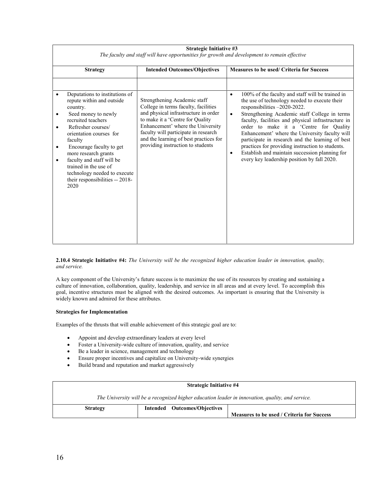| <b>Strategy</b>                                                                                                                                                                                                                                                                                                                                                       | <b>Intended Outcomes/Objectives</b>                                                                                                                                                                                                                                                                          | <b>Measures to be used/ Criteria for Success</b>                                                                                                                                                                                                                                                                                                                                                                                                                                                                                                                                     |
|-----------------------------------------------------------------------------------------------------------------------------------------------------------------------------------------------------------------------------------------------------------------------------------------------------------------------------------------------------------------------|--------------------------------------------------------------------------------------------------------------------------------------------------------------------------------------------------------------------------------------------------------------------------------------------------------------|--------------------------------------------------------------------------------------------------------------------------------------------------------------------------------------------------------------------------------------------------------------------------------------------------------------------------------------------------------------------------------------------------------------------------------------------------------------------------------------------------------------------------------------------------------------------------------------|
| Deputations to institutions of<br>repute within and outside<br>country.<br>Seed money to newly<br>recruited teachers<br>Refresher courses/<br>orientation courses for<br>faculty<br>Encourage faculty to get<br>more research grants<br>faculty and staff will be<br>trained in the use of<br>technology needed to execute<br>their responsibilities -- 2018-<br>2020 | Strengthening Academic staff<br>College in terms faculty, facilities<br>and physical infrastructure in order<br>to make it a 'Centre for Quality<br>Enhancement' where the University<br>faculty will participate in research<br>and the learning of best practices for<br>providing instruction to students | 100% of the faculty and staff will be trained in<br>$\bullet$<br>the use of technology needed to execute their<br>responsibilities -2020-2022.<br>Strengthening Academic staff College in terms<br>$\bullet$<br>faculty, facilities and physical infrastructure in<br>order to make it a 'Centre for Quality<br>Enhancement' where the University faculty will<br>participate in research and the learning of best<br>practices for providing instruction to students.<br>Establish and maintain succession planning for<br>$\bullet$<br>every key leadership position by fall 2020. |

| <b>Strategic Initiative #3</b>                                                               |  |  |  |  |
|----------------------------------------------------------------------------------------------|--|--|--|--|
| The faculty and staff will have opportunities for growth and development to remain effective |  |  |  |  |

**2.10.4 Strategic Initiative #4:** *The University will be the recognized higher education leader in innovation, quality, and service.*

A key component of the University's future success is to maximize the use of its resources by creating and sustaining a culture of innovation, collaboration, quality, leadership, and service in all areas and at every level. To accomplish this goal, incentive structures must be aligned with the desired outcomes. As important is ensuring that the University is widely known and admired for these attributes.

# **Strategies for Implementation**

Examples of the thrusts that will enable achievement of this strategic goal are to:

- Appoint and develop extraordinary leaders at every level
- Foster a University-wide culture of innovation, quality, and service
- Be a leader in science, management and technology
- Ensure proper incentives and capitalize on University-wide synergies
- Build brand and reputation and market aggressively

| <b>Strategic Initiative #4</b>                                                                   |                              |  |                                            |
|--------------------------------------------------------------------------------------------------|------------------------------|--|--------------------------------------------|
| The University will be a recognized higher education leader in innovation, quality, and service. |                              |  |                                            |
| <b>Strategy</b>                                                                                  | Intended Outcomes/Objectives |  |                                            |
|                                                                                                  |                              |  | Measures to be used / Criteria for Success |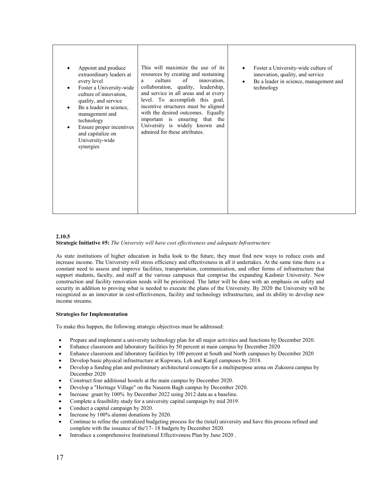| Appoint and produce<br>٠<br>extraordinary leaders at<br>every level<br>Foster a University-wide<br>$\bullet$<br>culture of innovation,<br>quality, and service<br>Be a leader in science,<br>$\bullet$<br>management and<br>technology<br>Ensure proper incentives<br>$\bullet$<br>and capitalize on<br>University-wide<br>synergies | This will maximize the use of its<br>resources by creating and sustaining<br>of<br>innovation.<br>culture<br>a.<br>collaboration, quality, leadership,<br>and service in all areas and at every<br>level. To accomplish this goal,<br>incentive structures must be aligned<br>with the desired outcomes. Equally<br>important is ensuring that the<br>University is widely known and<br>admired for these attributes. | Foster a University-wide culture of<br>innovation, quality, and service<br>Be a leader in science, management and<br>technology |
|--------------------------------------------------------------------------------------------------------------------------------------------------------------------------------------------------------------------------------------------------------------------------------------------------------------------------------------|-----------------------------------------------------------------------------------------------------------------------------------------------------------------------------------------------------------------------------------------------------------------------------------------------------------------------------------------------------------------------------------------------------------------------|---------------------------------------------------------------------------------------------------------------------------------|
|--------------------------------------------------------------------------------------------------------------------------------------------------------------------------------------------------------------------------------------------------------------------------------------------------------------------------------------|-----------------------------------------------------------------------------------------------------------------------------------------------------------------------------------------------------------------------------------------------------------------------------------------------------------------------------------------------------------------------------------------------------------------------|---------------------------------------------------------------------------------------------------------------------------------|

# **2.10.5**

**Strategic Initiative #5:** *The University will have cost effectiveness and adequate Infrastructure*

As state institutions of higher education in India look to the future, they must find new ways to reduce costs and increase income. The University will stress efficiency and effectiveness in all it undertakes. At the same time there is a constant need to assess and improve facilities, transportation, communication, and other forms of infrastructure that support students, faculty, and staff at the various campuses that comprise the expanding Kashmir University. New construction and facility renovation needs will be prioritized. The latter will be done with an emphasis on safety and security in addition to proving what is needed to execute the plans of the University. By 2020 the University will be recognized as an innovator in cost-effectiveness, facility and technology infrastructure, and its ability to develop new income streams.

# **Strategies for Implementation**

To make this happen, the following strategic objectives must be addressed:

- Prepare and implement a university technology plan for all major activities and functions by December 2020.
- Enhance classroom and laboratory facilities by 50 percent at main campus by December 2020
- Enhance classroom and laboratory facilities by 100 percent at South and North campuses by December 2020
- Develop basic physical infrastructure at Kupwara, Leh and Kargil campuses by 2018.
- Develop a funding plan and preliminary architectural concepts for a multipurpose arena on Zukoora campus by December 2020
- Construct four additional hostels at the main campus by December 2020.
- Develop a "Heritage Village" on the Naseem Bagh campus by December 2020.
- Increase grant by 100% by December 2022 using 2012 data as a baseline.
- Complete a feasibility study for a university capital campaign by mid 2019.
- Conduct a capital campaign by 2020.
- Increase by 100% alumni donations by 2020.
- Continue to refine the centralized budgeting process for the (total) university and have this process refined and complete with the issuance of the'17- 18 budgets by December 2020.
- Introduce a comprehensive Institutional Effectiveness Plan by June 2020 .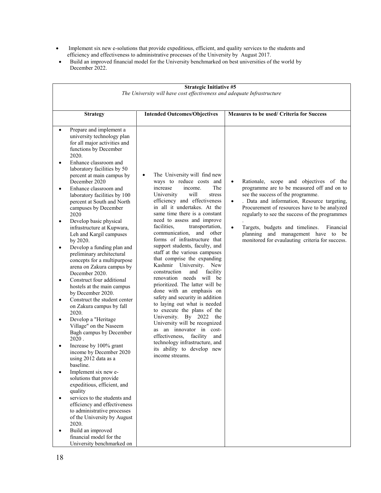- Implement six new e-solutions that provide expeditious, efficient, and quality services to the students and efficiency and effectiveness to administrative processes of the University by August 2017.
- Build an improved financial model for the University benchmarked on best universities of the world by December 2022.

| <b>Strategic Initiative #5</b><br>The University will have cost effectiveness and adequate Infrastructure                                                                                                                                                                                                                                                                                                                                                                                                                                                                                                                                                                                                                                                                                                                                                                                                                                                                                                                                                                                                                                                                                                                                                               |                                                                                                                                                                                                                                                                                                                                                                                                                                                                                                                                                                                                                                                                                                                                                                                                                                                                                                                                         |                                                                                                                                                                                                                                                                                                                                                                                                                                                            |  |  |
|-------------------------------------------------------------------------------------------------------------------------------------------------------------------------------------------------------------------------------------------------------------------------------------------------------------------------------------------------------------------------------------------------------------------------------------------------------------------------------------------------------------------------------------------------------------------------------------------------------------------------------------------------------------------------------------------------------------------------------------------------------------------------------------------------------------------------------------------------------------------------------------------------------------------------------------------------------------------------------------------------------------------------------------------------------------------------------------------------------------------------------------------------------------------------------------------------------------------------------------------------------------------------|-----------------------------------------------------------------------------------------------------------------------------------------------------------------------------------------------------------------------------------------------------------------------------------------------------------------------------------------------------------------------------------------------------------------------------------------------------------------------------------------------------------------------------------------------------------------------------------------------------------------------------------------------------------------------------------------------------------------------------------------------------------------------------------------------------------------------------------------------------------------------------------------------------------------------------------------|------------------------------------------------------------------------------------------------------------------------------------------------------------------------------------------------------------------------------------------------------------------------------------------------------------------------------------------------------------------------------------------------------------------------------------------------------------|--|--|
|                                                                                                                                                                                                                                                                                                                                                                                                                                                                                                                                                                                                                                                                                                                                                                                                                                                                                                                                                                                                                                                                                                                                                                                                                                                                         |                                                                                                                                                                                                                                                                                                                                                                                                                                                                                                                                                                                                                                                                                                                                                                                                                                                                                                                                         |                                                                                                                                                                                                                                                                                                                                                                                                                                                            |  |  |
| <b>Strategy</b>                                                                                                                                                                                                                                                                                                                                                                                                                                                                                                                                                                                                                                                                                                                                                                                                                                                                                                                                                                                                                                                                                                                                                                                                                                                         | <b>Intended Outcomes/Objectives</b>                                                                                                                                                                                                                                                                                                                                                                                                                                                                                                                                                                                                                                                                                                                                                                                                                                                                                                     | Measures to be used/ Criteria for Success                                                                                                                                                                                                                                                                                                                                                                                                                  |  |  |
| Prepare and implement a<br>university technology plan<br>for all major activities and<br>functions by December<br>2020.<br>Enhance classroom and<br>laboratory facilities by 50<br>percent at main campus by<br>December 2020<br>Enhance classroom and<br>laboratory facilities by 100<br>percent at South and North<br>campuses by December<br>2020<br>Develop basic physical<br>٠<br>infrastructure at Kupwara,<br>Leh and Kargil campuses<br>by 2020.<br>Develop a funding plan and<br>preliminary architectural<br>concepts for a multipurpose<br>arena on Zakura campus by<br>December 2020.<br>Construct four additional<br>$\bullet$<br>hostels at the main campus<br>by December 2020.<br>Construct the student center<br>٠<br>on Zakura campus by fall<br>2020.<br>Develop a "Heritage<br>Village" on the Naseem<br>Bagh campus by December<br>2020.<br>Increase by 100% grant<br>income by December 2020<br>using 2012 data as a<br>baseline.<br>Implement six new e-<br>solutions that provide<br>expeditious, efficient, and<br>quality<br>services to the students and<br>efficiency and effectiveness<br>to administrative processes<br>of the University by August<br>2020.<br>Build an improved<br>financial model for the<br>University benchmarked on | The University will find new<br>$\bullet$<br>ways to reduce costs and<br>increase<br>income.<br>The<br>University<br>will<br>stress<br>efficiency and effectiveness<br>in all it undertakes. At the<br>same time there is a constant<br>need to assess and improve<br>facilities.<br>transportation,<br>communication, and other<br>forms of infrastructure that<br>support students, faculty, and<br>staff at the various campuses<br>that comprise the expanding<br>Kashmir University. New<br>construction<br>and<br>facility<br>renovation needs will be<br>prioritized. The latter will be<br>done with an emphasis on<br>safety and security in addition<br>to laying out what is needed<br>to execute the plans of the<br>University. By 2022 the<br>University will be recognized<br>as an innovator in cost-<br>effectiveness, facility and<br>technology infrastructure, and<br>its ability to develop new<br>income streams. | Rationale, scope and objectives of the<br>$\bullet$<br>programme are to be measured off and on to<br>see the success of the programme.<br>. Data and information, Resource targeting,<br>$\bullet$<br>Procurement of resources have to be analyzed<br>regularly to see the success of the programmes<br>Targets, budgets and timelines.<br>$\bullet$<br>Financial<br>planning and management have to be<br>monitored for evaulauting criteria for success. |  |  |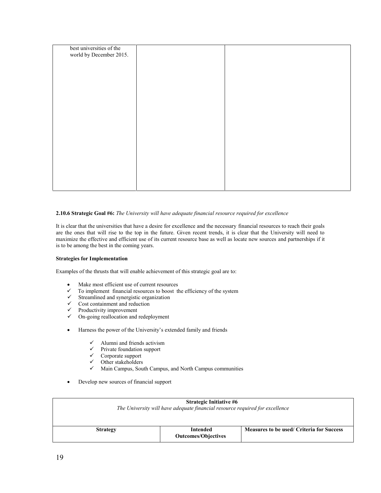| best universities of the<br>world by December 2015. |  |
|-----------------------------------------------------|--|
|                                                     |  |
|                                                     |  |
|                                                     |  |
|                                                     |  |
|                                                     |  |
|                                                     |  |
|                                                     |  |
|                                                     |  |

# **2.10.6 Strategic Goal #6:** *The University will have adequate financial resource required for excellence*

It is clear that the universities that have a desire for excellence and the necessary financial resources to reach their goals are the ones that will rise to the top in the future. Given recent trends, it is clear that the University will need to maximize the effective and efficient use of its current resource base as well as locate new sources and partnerships if it is to be among the best in the coming years.

# **Strategies for Implementation**

Examples of the thrusts that will enable achievement of this strategic goal are to:

- Make most efficient use of current resources
- $\checkmark$  To implement financial resources to boost the efficiency of the system
- $\checkmark$  Streamlined and synergistic organization
- $\checkmark$  Cost containment and reduction
- $\checkmark$  Productivity improvement
- $\checkmark$  On-going reallocation and redeployment
- Harness the power of the University's extended family and friends
	- $\checkmark$  Alumni and friends activism
	- $\checkmark$  Private foundation support
	- $\checkmark$  Corporate support<br> $\checkmark$  Other stakeholders
	- $\checkmark$  Other stakeholders<br> $\checkmark$  Main Campus, Sou
	- Main Campus, South Campus, and North Campus communities
- Develop new sources of financial support

| <b>Strategic Initiative #6</b><br>The University will have adequate financial resource required for excellence |                                        |                                           |  |  |
|----------------------------------------------------------------------------------------------------------------|----------------------------------------|-------------------------------------------|--|--|
| <b>Strategy</b>                                                                                                | Intended<br><b>Outcomes/Objectives</b> | Measures to be used/ Criteria for Success |  |  |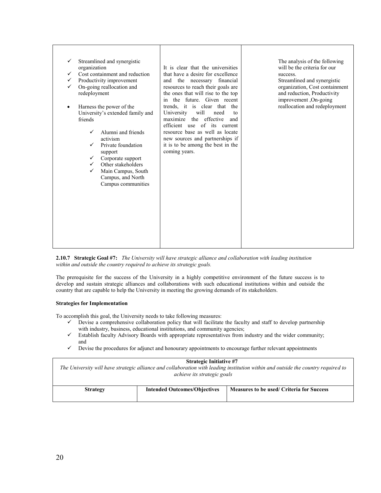**2.10.7 Strategic Goal #7:** *The University will have strategic alliance and collaboration with leading institution within and outside the country required to achieve its strategic goals.*

The prerequisite for the success of the University in a highly competitive environment of the future success is to develop and sustain strategic alliances and collaborations with such educational institutions within and outside the country that are capable to help the University in meeting the growing demands of its stakeholders.

# **Strategies for Implementation**

To accomplish this goal, the University needs to take following measures:

- $\checkmark$  Devise a comprehensive collaboration policy that will facilitate the faculty and staff to develop partnership with industry, business, educational institutions, and community agencies;
- $\checkmark$  Establish faculty Advisory Boards with appropriate representatives from industry and the wider community; and
- $\checkmark$  Devise the procedures for adjunct and honourary appointments to encourage further relevant appointments

#### **Strategic Initiative #7**

*The University will have strategic alliance and collaboration with leading institution within and outside the country required to achieve its strategic goals*

| <b>Strategy</b> | <b>Intended Outcomes/Objectives</b> | Measures to be used/ Criteria for Success |
|-----------------|-------------------------------------|-------------------------------------------|
|                 |                                     |                                           |
|                 |                                     |                                           |
|                 |                                     |                                           |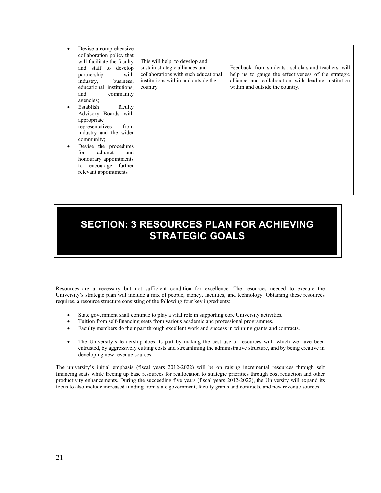| Devise a comprehensive<br>collaboration policy that<br>will facilitate the faculty<br>and staff to develop<br>partnership<br>with<br>industry,<br>business,<br>educational institutions,<br>and<br>community<br>agencies;<br>Establish<br>faculty<br>٠<br>Advisory Boards with<br>appropriate<br>representatives<br>from<br>industry and the wider<br>community;<br>Devise the procedures<br>$\bullet$<br>adjunct<br>and<br>for<br>honourary appointments<br>encourage further<br>to<br>relevant appointments | This will help to develop and<br>sustain strategic alliances and<br>collaborations with such educational<br>institutions within and outside the<br>country | Feedback from students, scholars and teachers will<br>help us to gauge the effectiveness of the strategic<br>alliance and collaboration with leading institution<br>within and outside the country. |  |
|---------------------------------------------------------------------------------------------------------------------------------------------------------------------------------------------------------------------------------------------------------------------------------------------------------------------------------------------------------------------------------------------------------------------------------------------------------------------------------------------------------------|------------------------------------------------------------------------------------------------------------------------------------------------------------|-----------------------------------------------------------------------------------------------------------------------------------------------------------------------------------------------------|--|
|---------------------------------------------------------------------------------------------------------------------------------------------------------------------------------------------------------------------------------------------------------------------------------------------------------------------------------------------------------------------------------------------------------------------------------------------------------------------------------------------------------------|------------------------------------------------------------------------------------------------------------------------------------------------------------|-----------------------------------------------------------------------------------------------------------------------------------------------------------------------------------------------------|--|

# **SECTION: 3 RESOURCES PLAN FOR ACHIEVING STRATEGIC GOALS**

Resources are a necessary--but not sufficient--condition for excellence. The resources needed to execute the University's strategic plan will include a mix of people, money, facilities, and technology. Obtaining these resources requires, a resource structure consisting of the following four key ingredients:

- State government shall continue to play a vital role in supporting core University activities.
- Tuition from self-financing seats from various academic and professional programmes.
- Faculty members do their part through excellent work and success in winning grants and contracts.
- The University's leadership does its part by making the best use of resources with which we have been entrusted, by aggressively cutting costs and streamlining the administrative structure, and by being creative in developing new revenue sources.

The university's initial emphasis (fiscal years 2012-2022) will be on raising incremental resources through self financing seats while freeing up base resources for reallocation to strategic priorities through cost reduction and other productivity enhancements. During the succeeding five years (fiscal years 2012-2022), the University will expand its focus to also include increased funding from state government, faculty grants and contracts, and new revenue sources.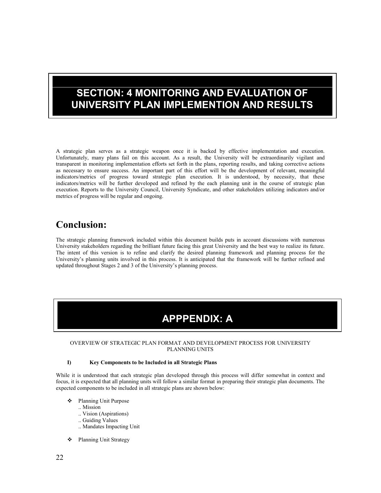# **SECTION: 4 MONITORING AND EVALUATION OF UNIVERSITY PLAN IMPLEMENTION AND RESULTS**

A strategic plan serves as a strategic weapon once it is backed by effective implementation and execution. Unfortunately, many plans fail on this account. As a result, the University will be extraordinarily vigilant and transparent in monitoring implementation efforts set forth in the plans, reporting results, and taking corrective actions as necessary to ensure success. An important part of this effort will be the development of relevant, meaningful indicators/metrics of progress toward strategic plan execution. It is understood, by necessity, that these indicators/metrics will be further developed and refined by the each planning unit in the course of strategic plan execution. Reports to the University Council, University Syndicate, and other stakeholders utilizing indicators and/or metrics of progress will be regular and ongoing.

# **Conclusion:**

The strategic planning framework included within this document builds puts in account discussions with numerous University stakeholders regarding the brilliant future facing this great University and the best way to realize its future. The intent of this version is to refine and clarify the desired planning framework and planning process for the University's planning units involved in this process. It is anticipated that the framework will be further refined and updated throughout Stages 2 and 3 of the University's planning process.

# **APPPENDIX: A**

# OVERVIEW OF STRATEGIC PLAN FORMAT AND DEVELOPMENT PROCESS FOR UNIVERSITY PLANNING UNITS

# **I) Key Components to be Included in all Strategic Plans**

While it is understood that each strategic plan developed through this process will differ somewhat in context and focus, it is expected that all planning units will follow a similar format in preparing their strategic plan documents. The expected components to be included in all strategic plans are shown below:

- Planning Unit Purpose
	- .. Mission
		- .. Vision (Aspirations)
		- .. Guiding Values
		- .. Mandates Impacting Unit
- Planning Unit Strategy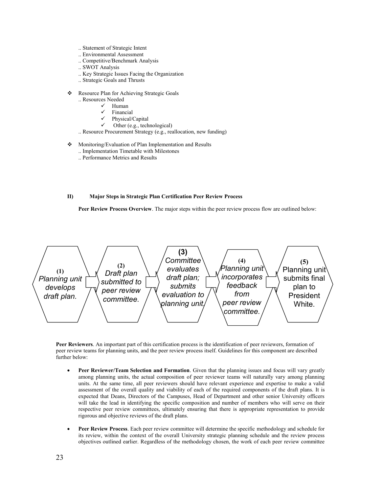- .. Statement of Strategic Intent
- .. Environmental Assessment
- .. Competitive/Benchmark Analysis
- .. SWOT Analysis
- .. Key Strategic Issues Facing the Organization
- .. Strategic Goals and Thrusts
- \* Resource Plan for Achieving Strategic Goals
	- .. Resources Needed
		- $\checkmark$  Human
		- Financial
		- Physical/Capital
		- Other (e.g., technological)
	- .. Resource Procurement Strategy (e.g., reallocation, new funding)
- Monitoring/Evaluation of Plan Implementation and Results
	- .. Implementation Timetable with Milestones
	- .. Performance Metrics and Results

# **II) Major Steps in Strategic Plan Certification Peer Review Process**

Peer Review Process Overview. The major steps within the peer review process flow are outlined below:



**Peer Reviewers**. An important part of this certification process is the identification of peer reviewers, formation of peer review teams for planning units, and the peer review process itself. Guidelines for this component are described further below:

- **Peer Reviewer/Team Selection and Formation**. Given that the planning issues and focus will vary greatly among planning units, the actual composition of peer reviewer teams will naturally vary among planning units. At the same time, all peer reviewers should have relevant experience and expertise to make a valid assessment of the overall quality and viability of each of the required components of the draft plans. It is expected that Deans, Directors of the Campuses, Head of Department and other senior University officers will take the lead in identifying the specific composition and number of members who will serve on their respective peer review committees, ultimately ensuring that there is appropriate representation to provide rigorous and objective reviews of the draft plans.
- **Peer Review Process**. Each peer review committee will determine the specific methodology and schedule for its review, within the context of the overall University strategic planning schedule and the review process objectives outlined earlier. Regardless of the methodology chosen, the work of each peer review committee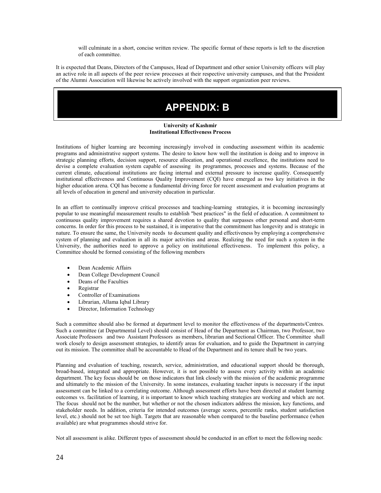will culminate in a short, concise written review. The specific format of these reports is left to the discretion of each committee.

It is expected that Deans, Directors of the Campuses, Head of Department and other senior University officers will play an active role in all aspects of the peer review processes at their respective university campuses, and that the President of the Alumni Association will likewise be actively involved with the support organization peer reviews.

# **APPENDIX: B**

# **University of Kashmir Institutional Effectiveness Process**

Institutions of higher learning are becoming increasingly involved in conducting assessment within its academic programs and administrative support systems. The desire to know how well the institution is doing and to improve in strategic planning efforts, decision support, resource allocation, and operational excellence, the institutions need to devise a complete evaluation system capable of assessing its programmes, processes and systems. Because of the current climate, educational institutions are facing internal and external pressure to increase quality. Consequently institutional effectiveness and Continuous Quality Improvement (CQI) have emerged as two key initiatives in the higher education arena. CQI has become a fundamental driving force for recent assessment and evaluation programs at all levels of education in general and university education in particular.

In an effort to continually improve critical processes and teaching-learning strategies, it is becoming increasingly popular to use meaningful measurement results to establish "best practices" in the field of education. A commitment to continuous quality improvement requires a shared devotion to quality that surpasses other personal and short-term concerns. In order for this process to be sustained, it is imperative that the commitment has longevity and is strategic in nature. To ensure the same, the University needs to document quality and effectiveness by employing a comprehensive system of planning and evaluation in all its major activities and areas. Realizing the need for such a system in the University, the authorities need to approve a policy on institutional effectiveness. To implement this policy, a Committee should be formed consisting of the following members

- Dean Academic Affairs
- Dean College Development Council
- Deans of the Faculties
- Registrar
- Controller of Examinations
- Librarian, Allama Iqbal Library
- Director, Information Technology

Such a committee should also be formed at department level to monitor the effectiveness of the departments/Centres. Such a committee (at Departmental Level) should consist of Head of the Department as Chairman, two Professor, two Associate Professors and two Assistant Professors as members, librarian and Sectional Officer. The Committee shall work closely to design assessment strategies, to identify areas for evaluation, and to guide the Department in carrying out its mission. The committee shall be accountable to Head of the Department and its tenure shall be two years.

Planning and evaluation of teaching, research, service, administration, and educational support should be thorough, broad-based, integrated and appropriate. However, it is not possible to assess every activity within an academic department. The key focus should be on those indicators that link closely with the mission of the academic programme and ultimately to the mission of the University. In some instances, evaluating teacher inputs is necessary if the input assessment can be linked to a correlating outcome. Although assessment efforts have been directed at student learning outcomes vs. facilitation of learning, it is important to know which teaching strategies are working and which are not. The focus should not be the number, but whether or not the chosen indicators address the mission, key functions, and stakeholder needs. In addition, criteria for intended outcomes (average scores, percentile ranks, student satisfaction level, etc.) should not be set too high. Targets that are reasonable when compared to the baseline performance (when available) are what programmes should strive for.

Not all assessment is alike. Different types of assessment should be conducted in an effort to meet the following needs: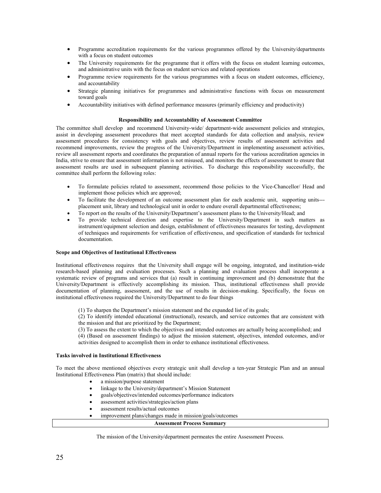- Programme accreditation requirements for the various programmes offered by the University/departments with a focus on student outcomes
- The University requirements for the programme that it offers with the focus on student learning outcomes, and administrative units with the focus on student services and related operations
- Programme review requirements for the various programmes with a focus on student outcomes, efficiency, and accountability
- Strategic planning initiatives for programmes and administrative functions with focus on measurement toward goals
- Accountability initiatives with defined performance measures (primarily efficiency and productivity)

# **Responsibility and Accountability of Assessment Committee**

The committee shall develop and recommend University-wide/ department-wide assessment policies and strategies, assist in developing assessment procedures that meet accepted standards for data collection and analysis, review assessment procedures for consistency with goals and objectives, review results of assessment activities and recommend improvements, review the progress of the University/Department in implementing assessment activities, review all assessment reports and coordinates the preparation of annual reports for the various accreditation agencies in India, strive to ensure that assessment information is not misused, and monitors the effects of assessment to ensure that assessment results are used in subsequent planning activities. To discharge this responsibility successfully, the committee shall perform the following roles:

- To formulate policies related to assessment, recommend those policies to the Vice-Chancellor/ Head and implement those policies which are approved;
- To facilitate the development of an outcome assessment plan for each academic unit, supporting units-- placement unit, library and technological unit in order to endure overall departmental effectiveness;
- To report on the results of the University/Department's assessment plans to the University/Head; and
- To provide technical direction and expertise to the University/Department in such matters as instrument/equipment selection and design, establishment of effectiveness measures for testing, development of techniques and requirements for verification of effectiveness, and specification of standards for technical documentation.

# **Scope and Objectives of Institutional Effectiveness**

Institutional effectiveness requires that the University shall engage will be ongoing, integrated, and institution-wide research-based planning and evaluation processes. Such a planning and evaluation process shall incorporate a systematic review of programs and services that (a) result in continuing improvement and (b) demonstrate that the University/Department is effectively accomplishing its mission. Thus, institutional effectiveness shall provide documentation of planning, assessment, and the use of results in decision-making. Specifically, the focus on institutional effectiveness required the University/Department to do four things

(1) To sharpen the Department's mission statement and the expanded list of its goals;

(2) To identify intended educational (instructional), research, and service outcomes that are consistent with the mission and that are prioritized by the Department;

(3) To assess the extent to which the objectives and intended outcomes are actually being accomplished; and

(4) (Based on assessment findings) to adjust the mission statement, objectives, intended outcomes, and/or activities designed to accomplish them in order to enhance institutional effectiveness.

# **Tasks involved in Institutional Effectiveness**

To meet the above mentioned objectives every strategic unit shall develop a ten-year Strategic Plan and an annual Institutional Effectiveness Plan (matrix) that should include:

- a mission/purpose statement
- linkage to the University/department's Mission Statement
- goals/objectives/intended outcomes/performance indicators
- assessment activities/strategies/action plans
- assessment results/actual outcomes
- improvement plans/changes made in mission/goals/outcomes

#### **Assessment Process Summary**

The mission of the University/department permeates the entire Assessment Process.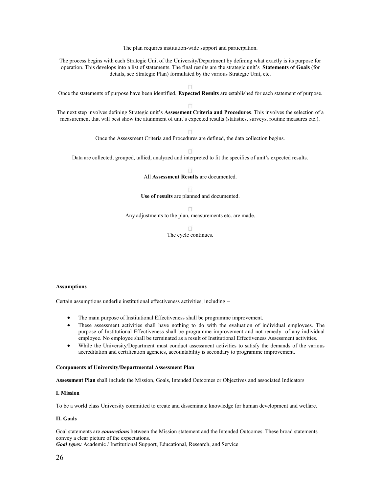The plan requires institution-wide support and participation. The process begins with each Strategic Unit of the University/Department by defining what exactly is its purpose for operation. This develops into a list of statements. The final results are the strategic unit's **Statements of Goals** (for details, see Strategic Plan) formulated by the various Strategic Unit, etc. П Once the statements of purpose have been identified, **Expected Results** are established for each statement of purpose. The next step involves defining Strategic unit's **Assessment Criteria and Procedures**. This involves the selection of a measurement that will best show the attainment of unit's expected results (statistics, surveys, routine measures etc.). Once the Assessment Criteria and Procedures are defined, the data collection begins. Data are collected, grouped, tallied, analyzed and interpreted to fit the specifics of unit's expected results. All **Assessment Results** are documented.

> П **Use of results** are planned and documented.

> > П

Any adjustments to the plan, measurements etc. are made.

 $\Box$ The cycle continues.

# **Assumptions**

Certain assumptions underlie institutional effectiveness activities, including –

- The main purpose of Institutional Effectiveness shall be programme improvement.
- These assessment activities shall have nothing to do with the evaluation of individual employees. The purpose of Institutional Effectiveness shall be programme improvement and not remedy of any individual employee. No employee shall be terminated as a result of Institutional Effectiveness Assessment activities.
- While the University/Department must conduct assessment activities to satisfy the demands of the various accreditation and certification agencies, accountability is secondary to programme improvement.

# **Components of University/Departmental Assessment Plan**

**Assessment Plan** shall include the Mission, Goals, Intended Outcomes or Objectives and associated Indicators

# **I. Mission**

To be a world class University committed to create and disseminate knowledge for human development and welfare.

# **II. Goals**

Goal statements are *connections* between the Mission statement and the Intended Outcomes. These broad statements convey a clear picture of the expectations.

*Goal types:* Academic / Institutional Support, Educational, Research, and Service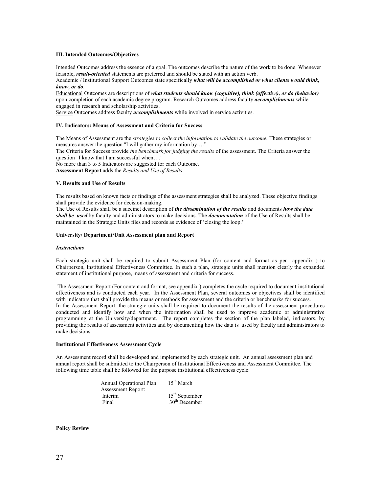# **III. Intended Outcomes/Objectives**

Intended Outcomes address the essence of a goal. The outcomes describe the nature of the work to be done. Whenever feasible, *result-oriented* statements are preferred and should be stated with an action verb.

Academic / Institutional Support Outcomes state specifically *what will be accomplished or what clients would think, know, or do*.

Educational Outcomes are descriptions of *what students should know (cognitive), think (affective), or do (behavior)* upon completion of each academic degree program. Research Outcomes address faculty *accomplishments* while engaged in research and scholarship activities.

Service Outcomes address faculty *accomplishments* while involved in service activities.

#### **IV. Indicators: Means of Assessment and Criteria for Success**

The Means of Assessment are the *strategies to collect the information to validate the outcome.* These strategies or measures answer the question "I will gather my information by…." The Criteria for Success provide *the benchmark for judging the results* of the assessment. The Criteria answer the question "I know that I am successful when....' No more than 3 to 5 Indicators are suggested for each Outcome. **Assessment Report** adds the *Results and Use of Results*

#### **V. Results and Use of Results**

The results based on known facts or findings of the assessment strategies shall be analyzed. These objective findings shall provide the evidence for decision-making.

The Use of Results shall be a succinct description of *the dissemination of the results* and documents *how the data shall be used* by faculty and administrators to make decisions. The *documentation* of the Use of Results shall be maintained in the Strategic Units files and records as evidence of 'closing the loop.'

#### **University/ Department/Unit Assessment plan and Report**

#### *Instructions*

Each strategic unit shall be required to submit Assessment Plan (for content and format as per appendix ) to Chairperson, Institutional Effectiveness Committee. In such a plan, strategic units shall mention clearly the expanded statement of institutional purpose, means of assessment and criteria for success.

The Assessment Report (For content and format, see appendix ) completes the cycle required to document institutional effectiveness and is conducted each year. In the Assessment Plan, several outcomes or objectives shall be identified with indicators that shall provide the means or methods for assessment and the criteria or benchmarks for success. In the Assessment Report, the strategic units shall be required to document the results of the assessment procedures conducted and identify how and when the information shall be used to improve academic or administrative programming at the University/department. The report completes the section of the plan labeled, indicators, by providing the results of assessment activities and by documenting how the data is used by faculty and administrators to make decisions.

#### **Institutional Effectiveness Assessment Cycle**

An Assessment record shall be developed and implemented by each strategic unit. An annual assessment plan and annual report shall be submitted to the Chairperson of Institutional Effectiveness and Assessment Committee. The following time table shall be followed for the purpose institutional effectiveness cycle:

| Annual Operational Plan   | $15th$ March     |
|---------------------------|------------------|
| <b>Assessment Report:</b> |                  |
| Interim                   | $15th$ September |
| Final                     | $30th$ December  |

# **Policy Review**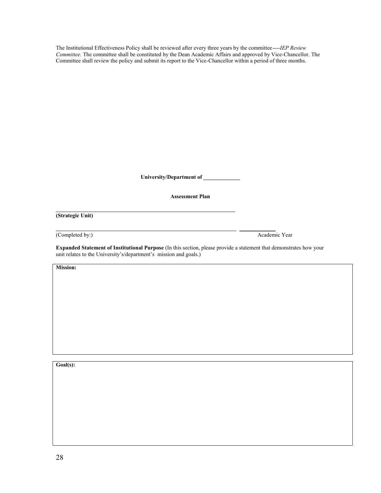The Institutional Effectiveness Policy shall be reviewed after every three years by the committee----*IEP Review Committee.* The committee shall be constituted by the Dean Academic Affairs and approved by Vice-Chancellor. The Committee shall review the policy and submit its report to the Vice-Chancellor within a period of three months.

**University/Department of \_\_\_\_\_\_\_\_\_\_\_\_\_**

# **Assessment Plan**

**(Strategic Unit)**

(Completed by:) Academic Year

\_\_\_\_\_\_\_\_\_\_\_\_\_

**Expanded Statement of Institutional Purpose** (In this section, please provide a statement that demonstrates how your unit relates to the University's/department's mission and goals.)

**Mission:**

**Goal(s):**